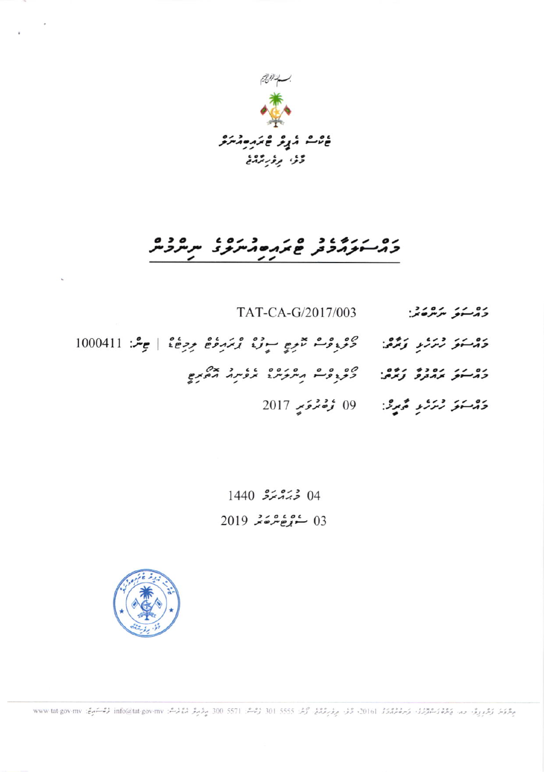

## כ*ה-יצהבת* פתחים *הייצ*ל ית יצבית

- دۇسنۇ بىر ھەن TAT-CA-G/2017/003
- دَمْسَعَرَ رُمَرْمِ رَمَّمْهُ: " دَكْرُوْمْ تَمْرِيجِ سِوْرْ، وْمَدِمْعْ مِرْجَا، | جِسْ: 1000411
	- **2017 رُمَرَيْ مُحِيرٌ:** 09 رُصْمُوَمِ 2017

 $1440$   $5222$   $04$  $2019$   $252220$   $03$ 



جِعْرَمَة رَعْرِ رِوْرَ حِدٍ حَعِيْرٍ مِعْ مِعْدَمَة 2016، وَمُنْ حِرْمَ مِعْرَ مِعْرَ كُمْرَ 301 5555 301 رُسْمَة 301 5555 301 مِرْمِرِمْ مُنْ فِسُمْ 1160 أَرْسُمْ: 300 mww.tat.gov-mv مُؤَسَمَةٍ: 300 my مُؤَسَمَةٍ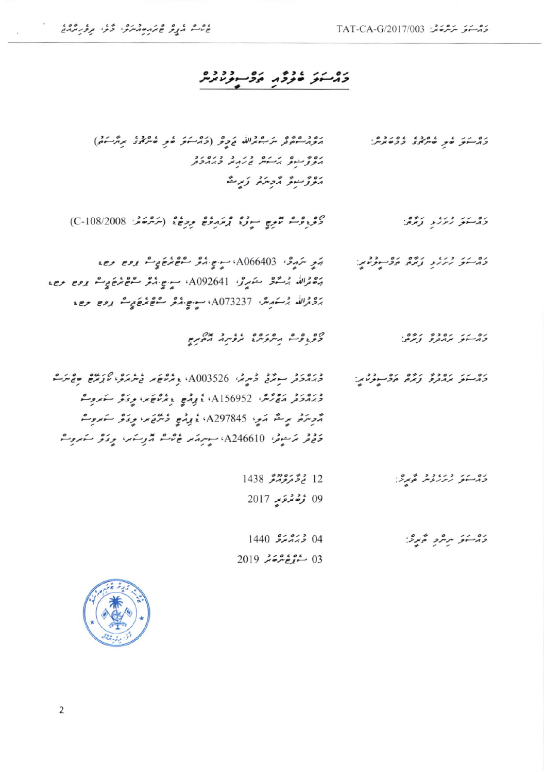## 

| כת אל לין ליתאל ככלתית:  | مورث وهمور مرجوندالله وروعر (والرسوفر خعر خبر محمد والرسوم)                                          |
|--------------------------|------------------------------------------------------------------------------------------------------|
|                          | התניית גיית ז'ות לגבלת                                                                               |
|                          | موژ سو موسره زېږ ته                                                                                  |
|                          |                                                                                                      |
| ذوسو زرار زخمی           | كْثْرْ وْمْتْ تْمْرِيجْ سِوْرْ، زْمَهْ دْوْعْ دِرْعْ، (سْتْرْحَمْهْ: 08/2008)                        |
|                          |                                                                                                      |
| والمسو ريريو أمره ووسولي | הَرِ سَرَرَدٌ A066403، سِنْسٍ הُرُّ سُمْعَ تُرَجَّحٍ سُمْ رُوحٍ رَحِمَ                               |
|                          | הَ صَوْرَاللَّهُ بِرَسَّوْدُ   A092641 بِ عِنْ الْمُرْحَمَّةِ مُسْتَوَجِّعَةٍ مِنْ مِنْ مِنْ مِنْ مِ |
|                          | ג'ציגוני ג' בוקישי, A073237 ישיים יוצב ליפיא ביין נפים בשי                                           |
|                          |                                                                                                      |
| כה אך גובן ניים          | CETSE VERENT KEWS VOTE                                                                               |
|                          |                                                                                                      |
| כת אי אומר נאת תפיית עו  | ۇبروگۇ سونگۇ ئەيرىز، A003526 <sub>ۋ</sub> ىگەھ كە ئ <sup>ې</sup> رىرى <i>ئا</i> رىگە ھۇنىرگ          |
|                          | وَبَرْدُوَثَرِ مَعْ رَّسْرُ، Al56952، نَا إِرْمَعِ ۚ دِيَرْتَاعَ بِهِ، وِيَا ثَوْ سَابِرُوِسْهُ      |
|                          | مُرْسِرَةً. بِرِحْدُ مَنْ A297845 وَبِرْمَعِ وَسُرْحَ بِنَ يَرْوَكُو سَنَرُوْسُ                      |
|                          | 5 قر برَسوڤر، A246610، سوپرمَهر کاناشہ آثروسمبر، بروکٹر سَمروٹ                                       |
|                          |                                                                                                      |
| دوسو رىرىدى ئورى         | $1438$ مُحْمَوْمَ مَعْ                                                                               |
|                          | 09 زخم تھر توپر 2017                                                                                 |
|                          |                                                                                                      |
| ذأر يتو بريرد أورثة      | $1440$ $55.25$ 04                                                                                    |
|                          | $2019$ مَدْرُوْمَتْرَ 2019                                                                           |

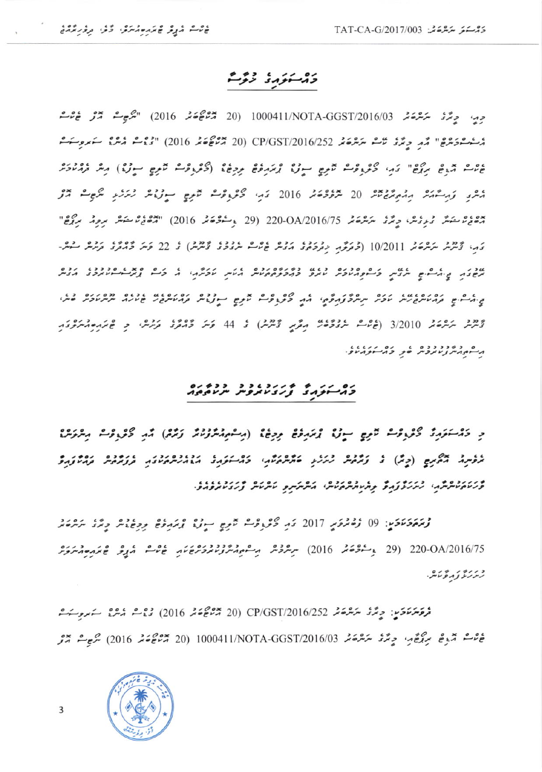## دۇستۇرۇ دۇش

حِيدِ حِمَّدَ سَرَّحْدَ سَرَّحْدَ 1000411/NOTA-GGST/2016/03 التَّرْجِعَةَ مَرْتَ عَامَدَ الْمُسْتَقَ مُسْتَحْدَدُهُ" مَّهْ دِيْرُ مَّتْ يَرْدُعَهُ CP/GST/2016/252 (20 مُرْجُعَة مِدْ 2016) "فِيْتَ مُدْيَ سَعْدِوِسَتَ على مدع بركوع" كم كوروك تموج سورة ومدع ووجة (كوروك تموج سورة) مثر وملائد مُكْرِدٍ وَمِسْمَدَّرٌ مِنْهُ مِنْ 20 مِرْوَدْهُ 2016 دَمِ، كَثَرْ وَفَسْ مُعْرِجٍ سِوْرُوْمٌ رُمَرْدِ مَرْجِسٌ مِّرْ مەھ يەشقىر ئىر ئىر ئىر ئىر ئىر ئىر ئىر ئىر ئىر 2016/75 (29 يەستۇھ ئىر 102) "ئىر ئىر ئىر ئىر ئىر ئىر ئىر ئىر ئى دَم، تَحْشِرْ سَرَسْرَحَمْدِ 10/2011 (دْتَرَكْرُمْ دِيْرْدْهُمْ مْرْدْشْ عْاشْرْ مْرْدْدْدْ تْرْشْرْ) ئى 22 قَسَر دُمْتْرى دْرْشْ سْمْس שני נית בילים אשת כלקברינק נגש נדודים ונים לית עבלהי ל כל פאיג סנננג ונים בית בים קורעית ביני עציר יתיית לוקלתי את ציוונים מתם מונים ופנית הומיתבי שעות יתיית עציר בית د دور برگردی 3/2010 (ع ما دورود برگرمز تومزش) تر 44 کرمز ۲۰۰۶ کردهار و عبر مقدم میرکوکار مر معدم درد دوه عدد در مدرد داد.

## COMPARE ENTRE CONTROL

و دَمْسَتَوَرِدٌ كَوْرِوْسْ تَعْرِجٍ سِوْرٌ إِيمَدِوْعٌ وِرِجْ؟ (رِسْمِ رُمْرُوْنَدُ وَمُدَّوْ) مَّدِ كَوْرِوْسْ رِمْرَمَرْ؟ ללינה האנים (כָת) ל נַתְגֹם לִינֵע בּתְתּגֹוֹה כֹגִי-נֹקוֹל הֹגוֹלִתוֹנוֹת לְנָתֵגֶת נִתְיוֹנָת ورىددومرمى زىرىدوم ومامامرمامى مرمرى ومراس نامام وردداندوما

وْمَهُوَمَوْمَنِ ۚ 09 رُوْمُرُوَمِرِ 2017 وَمِ كَثَرِ وَفَتْ تَمْوِجِ سِوْرٌ وَمَرَدُهُ وَمِنْ الْمَرْوَمُدُ 29/ 220-OA (29 بِمُسْتَوْعَةً 29/ 2016) سِتْرَوْشْ مِسْفَوْمِيْتْرَوْسْتَوْرْعَائِمِ عَاشْرَ مُرِيْرَ عَائِمَ مَسْتَوَتَر زىز ئەز ئەمۇئىتى.

فرقة مَنْ دَمِينْ حِبَّرْ مَرْشْرَةَ مْهْ 2016/GST/2016/252 (2010 مِنْ هُدَّةٌ مِنْ مَدِينٌ سَمَدِينَ مَسْتَمَ غَرْبُ مَّدْعَ سِمْعَةٍ، حِمَّدُ سَمَّرْعَةً مِّدَةً 2016/03 1000411/NOTA-GGST/2016 مُتَّبَعَ مَرَّم

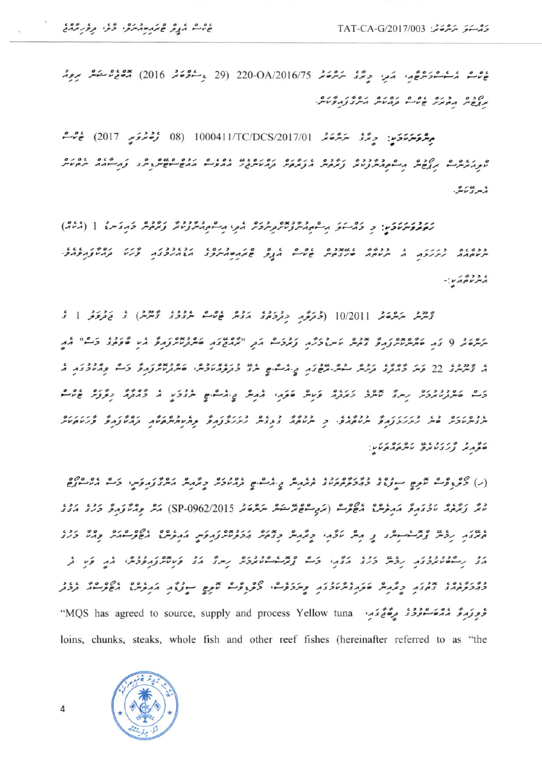ەم ئەس ئەس ئۇيۇم، مەر، جەڭزى سەھ OA/2016/75-220 (29 مەسمۇھەر 2016) مەھمى ئوسىمىر موم ת פים הבנים שפים נפנים נפיל בתלעת.

مِسْ وَسَرَءَ حَبِّ بِهِ صَدَّرْ سَرْحَةَ 1000411/TC/DCS/2017/01 (08 وُصْفَرَى 2017) عَاشَةَ General and concern the community of the contract and a coconcern again ، پېړۍ نامبر.

נות מעלית ובין: כ כל אל היי ואיי ניי גם היכל לבן היי ולי נייני נייני כתבית 1 (200) ככשום כתולת ה ככשש ומאבנים ום ם הות שאתם היוסו וכוכבז שון וסשינת ווו  $: max$ 

دَّيْرْشْ سَرْسْحَةْ 10/2011 (جُعَرَفَهِ مِهْرَجَةٍ حَمَّدَتْ وَمَنْ عَامَتْ سُرْوَدُ وَمَرْشْ) وَ يَحْرَفُوا وَ תתפור ( צו ברמנית נותר צבית לאתוכלת נגבל תב "אותבצה ביתנית נותר אש ביני בל" את ג שימינג 22 פית 2003 נים כם שית-משבת בית יש שיש כנגום וכם ביש ביט בין פתעכבת ה وَسع صرورودور رسرى مسرو زيروم ومسر صوّم، معرض يه مشاه عروم ما دورم معرض عاده גבסונים בג בונגולות ברבגג ב ברבאי בגביה בגולות בינגולות המינית במינות לינגונים.<br>יינגולבית סייק נינגולות ייניוסמפי כ ייניוסמ בגבית נינגולות במיניותיום ומינות למינות פיניוס CARAGO ULIVES CALIN

(ر) ציבונים שתם הנוני נונים נונים לאתית ביאלים וקומולת כאתית האיצות ואת לה دىم زىرە ئىقدىم ئىمبۇشى مەھرىسى ئاھمى ئىس ئىش ئىش 1962/2015 (SP-0962/2015) مىر ئەمبۇرى ئىرى مەد ועי נכית נבית ובין ייתו בין לבוי כלהי כבית הכניינות ולהלית התניינו השניינות כגיו כני גב נשישותכבת נכת כנב גבתי כם נתחיים וכנכת ניתה גב פטותות וכנתי גת פי ל בשנבוסו אבני כולת שלו ובנולכות פילללים לכילם לתם יינות התלייג הסלייות בכב شَعِرَوَ مِنْ شَعْرُوْ مِنْ سَعَمَوْ فَي مَدِينَ وَالْكَلِيمِينَ MQS has agreed to source, supply and process Yellow tuna loins, chunks, steaks, whole fish and other reef fishes (hereinafter referred to as "the